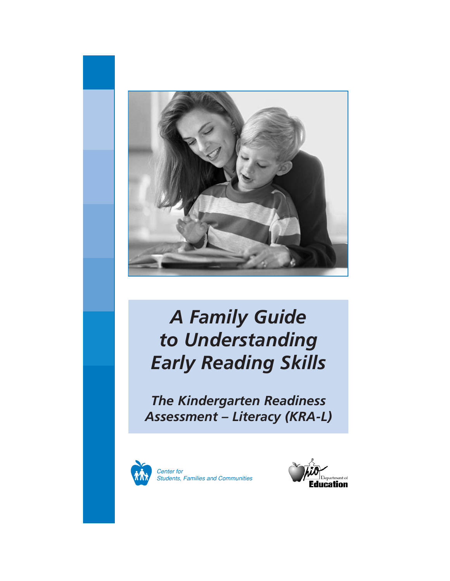

# *A Family Guide to Understanding Early Reading Skills*

*The Kindergarten Readiness Assessment – Literacy (KRA-L)*



*Center for Students, Families and Communities*

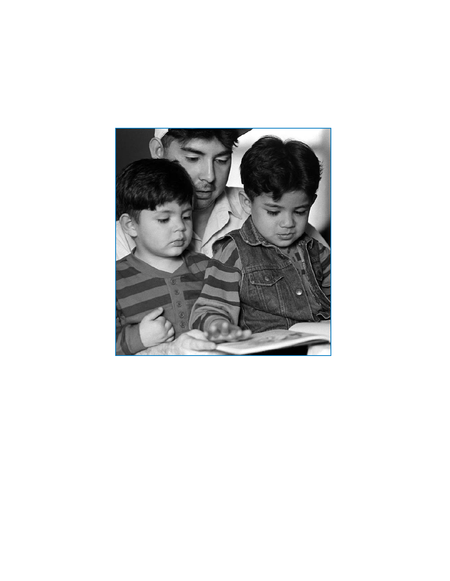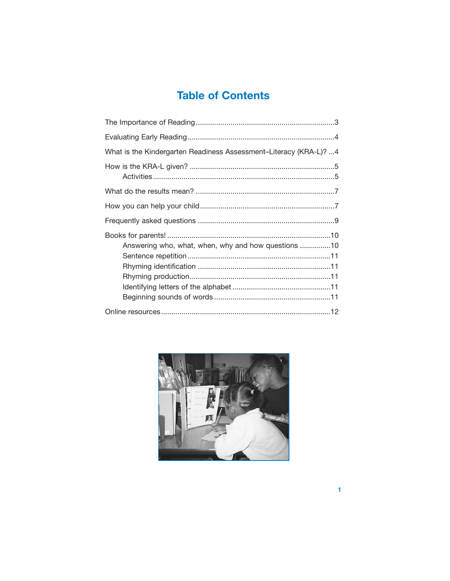## **Table of Contents**

| What is the Kindergarten Readiness Assessment-Literacy (KRA-L)? 4 |  |
|-------------------------------------------------------------------|--|
|                                                                   |  |
|                                                                   |  |
|                                                                   |  |
|                                                                   |  |
| Answering who, what, when, why and how questions 10               |  |
|                                                                   |  |

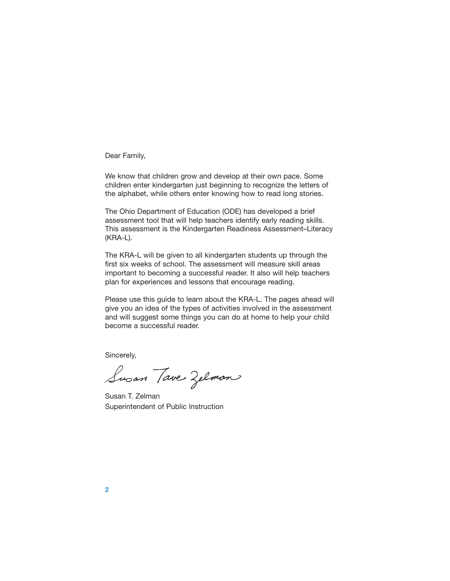Dear Family,

We know that children grow and develop at their own pace. Some children enter kindergarten just beginning to recognize the letters of the alphabet, while others enter knowing how to read long stories.

The Ohio Department of Education (ODE) has developed a brief assessment tool that will help teachers identify early reading skills. This assessment is the Kindergarten Readiness Assessment–Literacy (KRA-L).

The KRA-L will be given to all kindergarten students up through the first six weeks of school. The assessment will measure skill areas important to becoming a successful reader. It also will help teachers plan for experiences and lessons that encourage reading.

Please use this guide to learn about the KRA-L. The pages ahead will give you an idea of the types of activities involved in the assessment and will suggest some things you can do at home to help your child become a successful reader.

Sincerely,

Lusan Tave Zelmon

Susan T. Zelman Superintendent of Public Instruction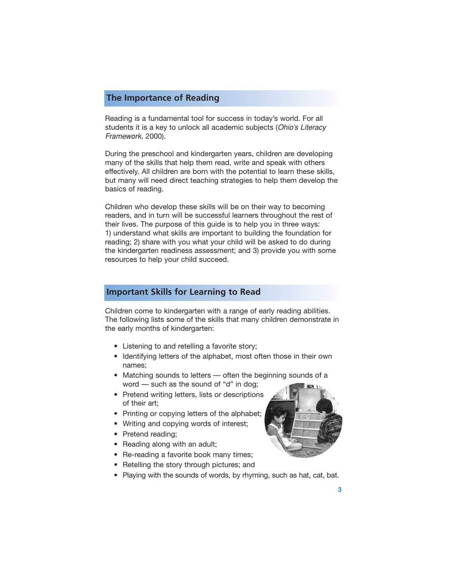## **The Importance of Reading**

Reading is a fundamental tool for success in today's world. For all students it is a key to unlock all academic subjects (Ohio's Literacy Framework, 2000).

During the preschool and kindergarten years, children are developing many of the skills that help them read, write and speak with others effectively. All children are born with the potential to learn these skills, but many will need direct teaching strategies to help them develop the basics of reading.

Children who develop these skills will be on their way to becoming readers, and in turn will be successful learners throughout the rest of their lives. The purpose of this guide is to help you in three ways: 1) understand what skills are important to building the foundation for reading; 2) share with you what your child will be asked to do during the kindergarten readiness assessment; and 3) provide you with some resources to help your child succeed.

## **Important Skills for Learning to Read**

Children come to kindergarten with a range of early reading abilities. The following lists some of the skills that many children demonstrate in the early months of kindergarten:

- Listening to and retelling a favorite story;
- Identifying letters of the alphabet, most often those in their own names;
- Matching sounds to letters often the beginning sounds of a word — such as the sound of "d" in dog;
- Pretend writing letters, lists or descriptions of their art;
- Printing or copying letters of the alphabet;
- Writing and copying words of interest;
- Pretend reading;
- Reading along with an adult;
- Re-reading a favorite book many times;
- Retelling the story through pictures; and
- Playing with the sounds of words, by rhyming, such as hat, cat, bat.

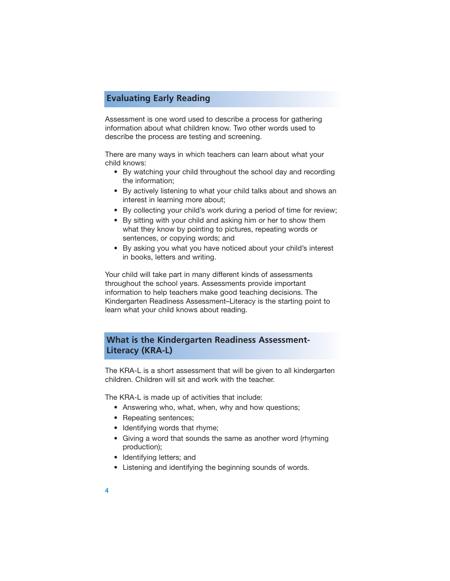## **Evaluating Early Reading**

Assessment is one word used to describe a process for gathering information about what children know. Two other words used to describe the process are testing and screening.

There are many ways in which teachers can learn about what your child knows:

- By watching your child throughout the school day and recording the information;
- By actively listening to what your child talks about and shows an interest in learning more about;
- By collecting your child's work during a period of time for review;
- By sitting with your child and asking him or her to show them what they know by pointing to pictures, repeating words or sentences, or copying words; and
- By asking you what you have noticed about your child's interest in books, letters and writing.

Your child will take part in many different kinds of assessments throughout the school years. Assessments provide important information to help teachers make good teaching decisions. The Kindergarten Readiness Assessment–Literacy is the starting point to learn what your child knows about reading.

## **What is the Kindergarten Readiness Assessment-Literacy (KRA-L)**

The KRA-L is a short assessment that will be given to all kindergarten children. Children will sit and work with the teacher.

The KRA-L is made up of activities that include:

- Answering who, what, when, why and how questions;
- Repeating sentences;
- Identifying words that rhyme;
- Giving a word that sounds the same as another word (rhyming production);
- Identifying letters; and
- Listening and identifying the beginning sounds of words.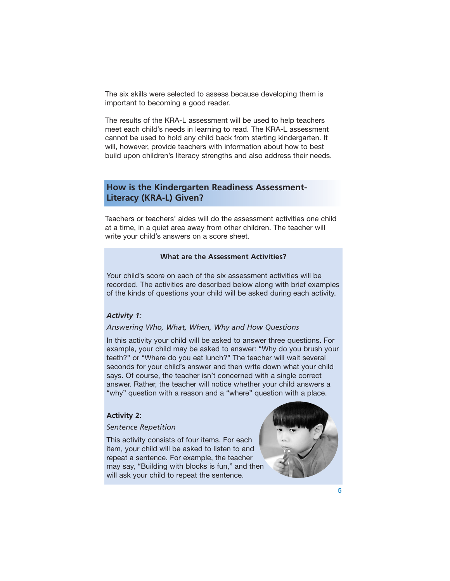The six skills were selected to assess because developing them is important to becoming a good reader.

The results of the KRA-L assessment will be used to help teachers meet each child's needs in learning to read. The KRA-L assessment cannot be used to hold any child back from starting kindergarten. It will, however, provide teachers with information about how to best build upon children's literacy strengths and also address their needs.

## **How is the Kindergarten Readiness Assessment-Literacy (KRA-L) Given?**

Teachers or teachers' aides will do the assessment activities one child at a time, in a quiet area away from other children. The teacher will write your child's answers on a score sheet.

## **What are the Assessment Activities?**

Your child's score on each of the six assessment activities will be recorded. The activities are described below along with brief examples of the kinds of questions your child will be asked during each activity.

## *Activity 1:*

## *Answering Who, What, When, Why and How Questions*

In this activity your child will be asked to answer three questions. For example, your child may be asked to answer: "Why do you brush your teeth?" or "Where do you eat lunch?" The teacher will wait several seconds for your child's answer and then write down what your child says. Of course, the teacher isn't concerned with a single correct answer. Rather, the teacher will notice whether your child answers a "why" question with a reason and a "where" question with a place.

## **Activity 2:**

## *Sentence Repetition*

This activity consists of four items. For each item, your child will be asked to listen to and repeat a sentence. For example, the teacher may say, "Building with blocks is fun," and then will ask your child to repeat the sentence.

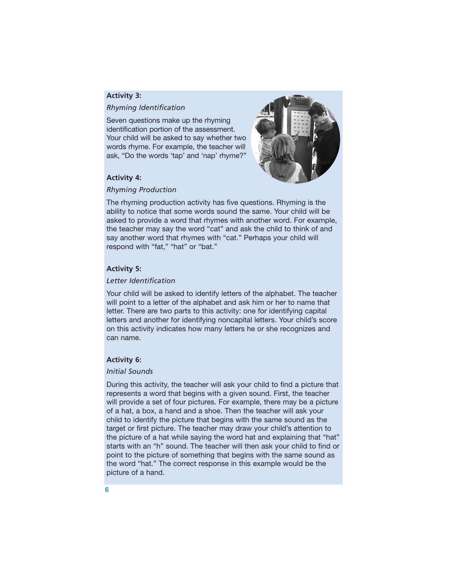## **Activity 3:**

## *Rhyming Identification*

Seven questions make up the rhyming identification portion of the assessment. Your child will be asked to say whether two words rhyme. For example, the teacher will ask, "Do the words 'tap' and 'nap' rhyme?"



## **Activity 4:**

## *Rhyming Production*

The rhyming production activity has five questions. Rhyming is the ability to notice that some words sound the same. Your child will be asked to provide a word that rhymes with another word. For example, the teacher may say the word "cat" and ask the child to think of and say another word that rhymes with "cat." Perhaps your child will respond with "fat," "hat" or "bat."

## **Activity 5:**

## *Letter Identification*

Your child will be asked to identify letters of the alphabet. The teacher will point to a letter of the alphabet and ask him or her to name that letter. There are two parts to this activity: one for identifying capital letters and another for identifying noncapital letters. Your child's score on this activity indicates how many letters he or she recognizes and can name.

## **Activity 6:**

#### *Initial Sounds*

During this activity, the teacher will ask your child to find a picture that represents a word that begins with a given sound. First, the teacher will provide a set of four pictures. For example, there may be a picture of a hat, a box, a hand and a shoe. Then the teacher will ask your child to identify the picture that begins with the same sound as the target or first picture. The teacher may draw your child's attention to the picture of a hat while saying the word hat and explaining that "hat" starts with an "h" sound. The teacher will then ask your child to find or point to the picture of something that begins with the same sound as the word "hat." The correct response in this example would be the picture of a hand.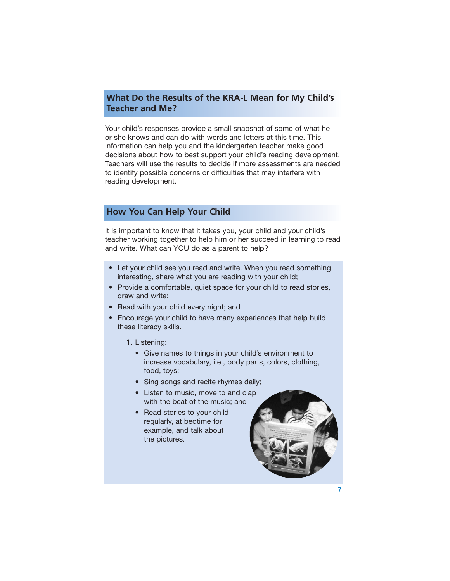## **What Do the Results of the KRA-L Mean for My Child's Teacher and Me?**

Your child's responses provide a small snapshot of some of what he or she knows and can do with words and letters at this time. This information can help you and the kindergarten teacher make good decisions about how to best support your child's reading development. Teachers will use the results to decide if more assessments are needed to identify possible concerns or difficulties that may interfere with reading development.

## **How You Can Help Your Child**

It is important to know that it takes you, your child and your child's teacher working together to help him or her succeed in learning to read and write. What can YOU do as a parent to help?

- Let your child see you read and write. When you read something interesting, share what you are reading with your child;
- Provide a comfortable, quiet space for your child to read stories, draw and write;
- Read with your child every night; and
- Encourage your child to have many experiences that help build these literacy skills.
	- 1. Listening:
		- Give names to things in your child's environment to increase vocabulary, i.e., body parts, colors, clothing, food, toys;
		- Sing songs and recite rhymes daily;
		- Listen to music, move to and clap with the beat of the music; and
		- Read stories to your child regularly, at bedtime for example, and talk about the pictures.

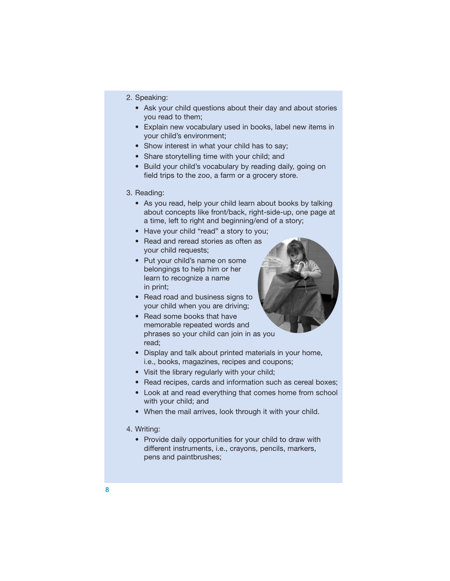- 2. Speaking:
	- Ask your child questions about their day and about stories you read to them;
	- Explain new vocabulary used in books, label new items in your child's environment;
	- Show interest in what your child has to say;
	- Share storytelling time with your child; and
	- Build your child's vocabulary by reading daily, going on field trips to the zoo, a farm or a grocery store.
- 3. Reading:
	- As you read, help your child learn about books by talking about concepts like front/back, right-side-up, one page at a time, left to right and beginning/end of a story;
	- Have your child "read" a story to you;
	- Read and reread stories as often as your child requests;
	- Put your child's name on some belongings to help him or her learn to recognize a name in print;
	- Read road and business signs to your child when you are driving;
	- Read some books that have memorable repeated words and phrases so your child can join in as you read;
	- Display and talk about printed materials in your home, i.e., books, magazines, recipes and coupons;
	- Visit the library regularly with your child;
	- Read recipes, cards and information such as cereal boxes;
	- Look at and read everything that comes home from school with your child; and
	- When the mail arrives, look through it with your child.
- 4. Writing:
	- Provide daily opportunities for your child to draw with different instruments, i.e., crayons, pencils, markers, pens and paintbrushes;

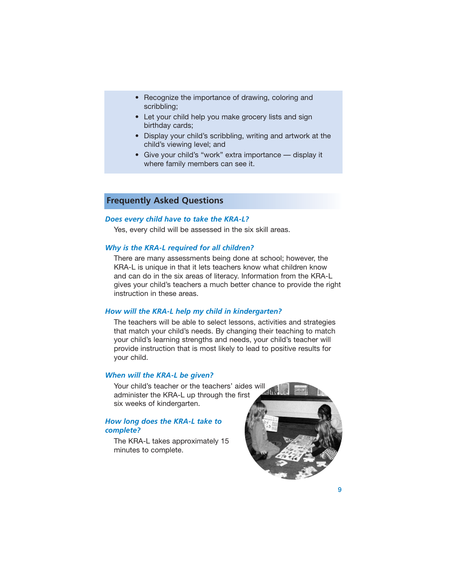- Recognize the importance of drawing, coloring and scribbling;
- Let your child help you make grocery lists and sign birthday cards;
- Display your child's scribbling, writing and artwork at the child's viewing level; and
- Give your child's "work" extra importance display it where family members can see it.

## **Frequently Asked Questions**

#### *Does every child have to take the KRA-L?*

Yes, every child will be assessed in the six skill areas.

### *Why is the KRA-L required for all children?*

There are many assessments being done at school; however, the KRA-L is unique in that it lets teachers know what children know and can do in the six areas of literacy. Information from the KRA-L gives your child's teachers a much better chance to provide the right instruction in these areas.

### *How will the KRA-L help my child in kindergarten?*

The teachers will be able to select lessons, activities and strategies that match your child's needs. By changing their teaching to match your child's learning strengths and needs, your child's teacher will provide instruction that is most likely to lead to positive results for your child.

### *When will the KRA-L be given?*

Your child's teacher or the teachers' aides will administer the KRA-L up through the first six weeks of kindergarten.

## *How long does the KRA-L take to complete?*

The KRA-L takes approximately 15 minutes to complete.

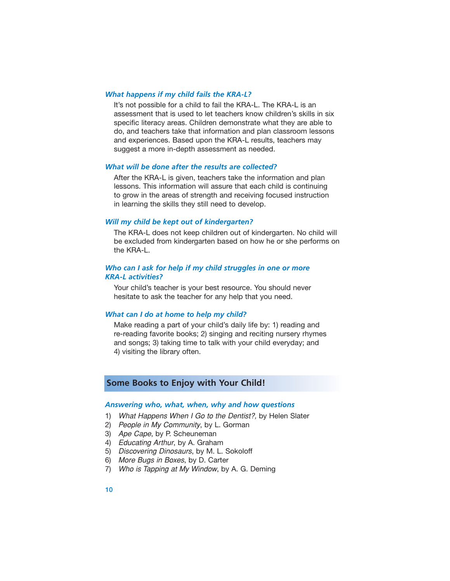#### *What happens if my child fails the KRA-L?*

It's not possible for a child to fail the KRA-L. The KRA-L is an assessment that is used to let teachers know children's skills in six specific literacy areas. Children demonstrate what they are able to do, and teachers take that information and plan classroom lessons and experiences. Based upon the KRA-L results, teachers may suggest a more in-depth assessment as needed.

#### *What will be done after the results are collected?*

After the KRA-L is given, teachers take the information and plan lessons. This information will assure that each child is continuing to grow in the areas of strength and receiving focused instruction in learning the skills they still need to develop.

## *Will my child be kept out of kindergarten?*

The KRA-L does not keep children out of kindergarten. No child will be excluded from kindergarten based on how he or she performs on the KRA-L.

## *Who can I ask for help if my child struggles in one or more KRA-L activities?*

Your child's teacher is your best resource. You should never hesitate to ask the teacher for any help that you need.

## *What can I do at home to help my child?*

Make reading a part of your child's daily life by: 1) reading and re-reading favorite books; 2) singing and reciting nursery rhymes and songs; 3) taking time to talk with your child everyday; and 4) visiting the library often.

## **Some Books to Enjoy with Your Child!**

## *Answering who, what, when, why and how questions*

- 1) What Happens When I Go to the Dentist?, by Helen Slater
- 2) People in My Community, by L. Gorman
- 3) Ape Cape, by P. Scheuneman
- 4) Educating Arthur, by A. Graham
- 5) Discovering Dinosaurs, by M. L. Sokoloff
- 6) More Bugs in Boxes, by D. Carter
- 7) Who is Tapping at My Window, by A. G. Deming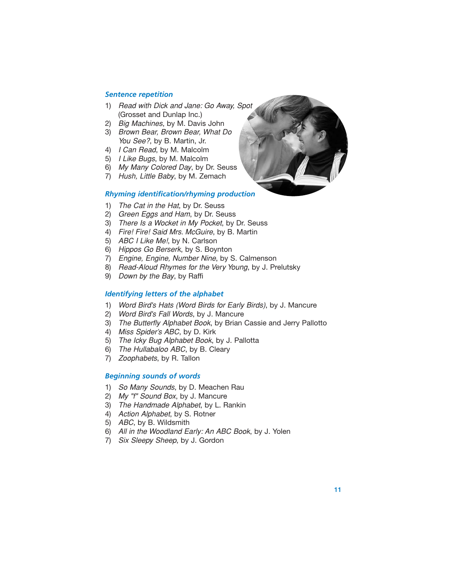## *Sentence repetition*

- 1) Read with Dick and Jane: Go Away, Spot (Grosset and Dunlap Inc.)
- 2) Big Machines, by M. Davis John
- 3) Brown Bear, Brown Bear, What Do You See?, by B. Martin, Jr.
- 4) I Can Read, by M. Malcolm
- 5) I Like Bugs, by M. Malcolm
- 6) My Many Colored Day, by Dr. Seuss
- 7) Hush, Little Baby, by M. Zemach

## *Rhyming identification/rhyming production*

- 1) The Cat in the Hat, by Dr. Seuss
- 2) Green Eggs and Ham, by Dr. Seuss
- 3) There Is a Wocket in My Pocket, by Dr. Seuss
- 4) Fire! Fire! Said Mrs. McGuire, by B. Martin
- 5) ABC I Like Me!, by N. Carlson
- 6) Hippos Go Berserk, by S. Boynton
- 7) Engine, Engine, Number Nine, by S. Calmenson
- 8) Read-Aloud Rhymes for the Very Young, by J. Prelutsky
- 9) Down by the Bay, by Raffi

#### *Identifying letters of the alphabet*

- 1) Word Bird's Hats (Word Birds for Early Birds), by J. Mancure
- 2) Word Bird's Fall Words, by J. Mancure
- 3) The Butterfly Alphabet Book, by Brian Cassie and Jerry Pallotto
- 4) Miss Spider's ABC, by D. Kirk
- 5) The Icky Bug Alphabet Book, by J. Pallotta
- 6) The Hullabaloo ABC, by B. Cleary
- 7) Zoophabets, by R. Tallon

## *Beginning sounds of words*

- 1) So Many Sounds, by D. Meachen Rau
- 2) My "f" Sound Box, by J. Mancure
- 3) The Handmade Alphabet, by L. Rankin
- 4) Action Alphabet, by S. Rotner
- 5) ABC, by B. Wildsmith
- 6) All in the Woodland Early: An ABC Book, by J. Yolen
- 7) Six Sleepy Sheep, by J. Gordon

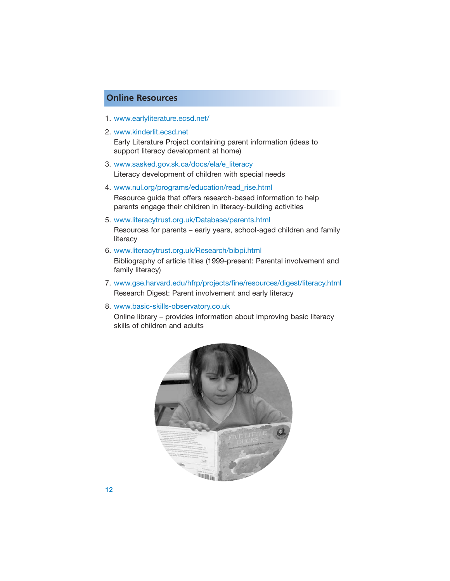## **Online Resources**

- 1. www.earlyliterature.ecsd.net/
- 2. www.kinderlit.ecsd.net

Early Literature Project containing parent information (ideas to support literacy development at home)

3. www.sasked.gov.sk.ca/docs/ela/e\_literacy

Literacy development of children with special needs

- 4. www.nul.org/programs/education/read\_rise.html Resource guide that offers research-based information to help parents engage their children in literacy-building activities
- 5. www.literacytrust.org.uk/Database/parents.html

Resources for parents – early years, school-aged children and family literacy

- 6. www.literacytrust.org.uk/Research/bibpi.html Bibliography of article titles (1999-present: Parental involvement and family literacy)
- 7. www.gse.harvard.edu/hfrp/projects/fine/resources/digest/literacy.html Research Digest: Parent involvement and early literacy
- 8. www.basic-skills-observatory.co.uk

Online library – provides information about improving basic literacy skills of children and adults

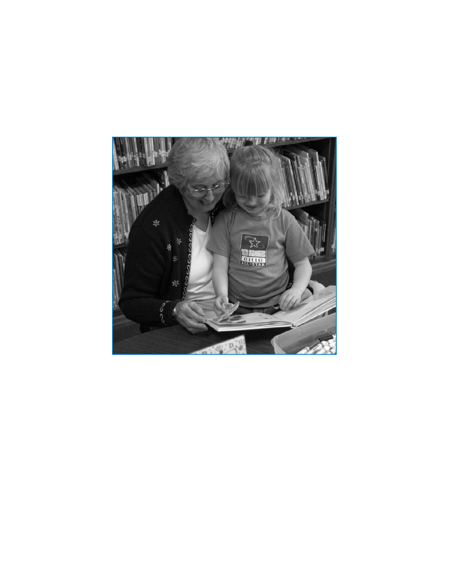